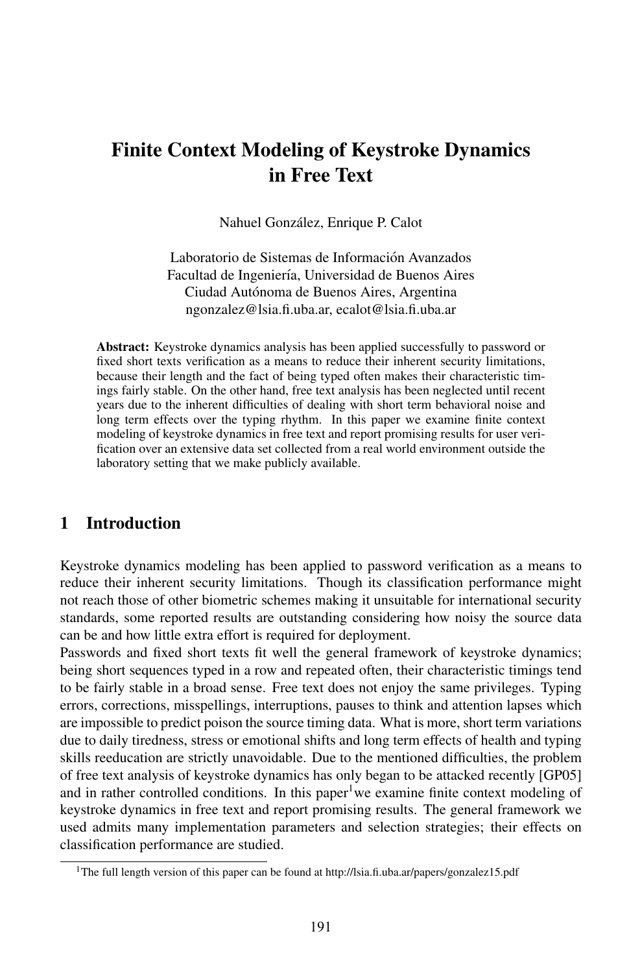# Finite Context Modeling of Keystroke Dynamics in Free Text

Nahuel González, Enrique P. Calot

Laboratorio de Sistemas de Información Avanzados Facultad de Ingeniería, Universidad de Buenos Aires Ciudad Autónoma de Buenos Aires, Argentina ngonzalez@lsia.fi.uba.ar, ecalot@lsia.fi.uba.ar

Abstract: Keystroke dynamics analysis has been applied successfully to password or fixed short texts verification as a means to reduce their inherent security limitations, because their length and the fact of being typed often makes their characteristic timings fairly stable. On the other hand, free text analysis has been neglected until recent years due to the inherent difficulties of dealing with short term behavioral noise and long term effects over the typing rhythm. In this paper we examine finite context modeling of keystroke dynamics in free text and report promising results for user verification over an extensive data set collected from a real world environment outside the laboratory setting that we make publicly available.

### 1 Introduction

Keystroke dynamics modeling has been applied to password verification as a means to reduce their inherent security limitations. Though its classification performance might not reach those of other biometric schemes making it unsuitable for international security standards, some reported results are outstanding considering how noisy the source data can be and how little extra effort is required for deployment.

Passwords and fixed short texts fit well the general framework of keystroke dynamics; being short sequences typed in a row and repeated often, their characteristic timings tend to be fairly stable in a broad sense. Free text does not enjoy the same privileges. Typing errors, corrections, misspellings, interruptions, pauses to think and attention lapses which are impossible to predict poison the source timing data. What is more, short term variations due to daily tiredness, stress or emotional shifts and long term effects of health and typing skills reeducation are strictly unavoidable. Due to the mentioned difficulties, the problem of free text analysis of keystroke dynamics has only began to be attacked recently [GP05] and in rather controlled conditions. In this paper<sup>1</sup> we examine finite context modeling of keystroke dynamics in free text and report promising results. The general framework we used admits many implementation parameters and selection strategies; their effects on classification performance are studied.

<sup>&</sup>lt;sup>1</sup>The full length version of this paper can be found at http://lsia.fi.uba.ar/papers/gonzalez15.pdf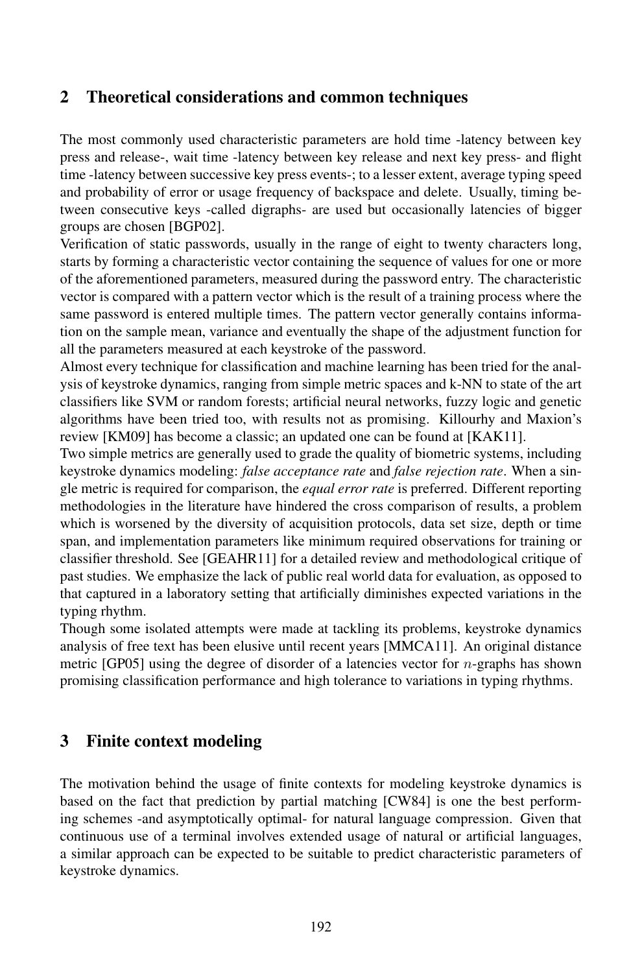## 2 Theoretical considerations and common techniques

The most commonly used characteristic parameters are hold time -latency between key press and release-, wait time -latency between key release and next key press- and flight time -latency between successive key press events-; to a lesser extent, average typing speed and probability of error or usage frequency of backspace and delete. Usually, timing between consecutive keys -called digraphs- are used but occasionally latencies of bigger groups are chosen [BGP02].

Verification of static passwords, usually in the range of eight to twenty characters long, starts by forming a characteristic vector containing the sequence of values for one or more of the aforementioned parameters, measured during the password entry. The characteristic vector is compared with a pattern vector which is the result of a training process where the same password is entered multiple times. The pattern vector generally contains information on the sample mean, variance and eventually the shape of the adjustment function for all the parameters measured at each keystroke of the password.

Almost every technique for classification and machine learning has been tried for the analysis of keystroke dynamics, ranging from simple metric spaces and k-NN to state of the art classifiers like SVM or random forests; artificial neural networks, fuzzy logic and genetic algorithms have been tried too, with results not as promising. Killourhy and Maxion's review [KM09] has become a classic; an updated one can be found at [KAK11].

Two simple metrics are generally used to grade the quality of biometric systems, including keystroke dynamics modeling: *false acceptance rate* and *false rejection rate*. When a single metric is required for comparison, the *equal error rate* is preferred. Different reporting methodologies in the literature have hindered the cross comparison of results, a problem which is worsened by the diversity of acquisition protocols, data set size, depth or time span, and implementation parameters like minimum required observations for training or classifier threshold. See [GEAHR11] for a detailed review and methodological critique of past studies. We emphasize the lack of public real world data for evaluation, as opposed to that captured in a laboratory setting that artificially diminishes expected variations in the typing rhythm.

Though some isolated attempts were made at tackling its problems, keystroke dynamics analysis of free text has been elusive until recent years [MMCA11]. An original distance metric [GP05] using the degree of disorder of a latencies vector for  $n$ -graphs has shown promising classification performance and high tolerance to variations in typing rhythms.

## 3 Finite context modeling

The motivation behind the usage of finite contexts for modeling keystroke dynamics is based on the fact that prediction by partial matching [CW84] is one the best performing schemes -and asymptotically optimal- for natural language compression. Given that continuous use of a terminal involves extended usage of natural or artificial languages, a similar approach can be expected to be suitable to predict characteristic parameters of keystroke dynamics.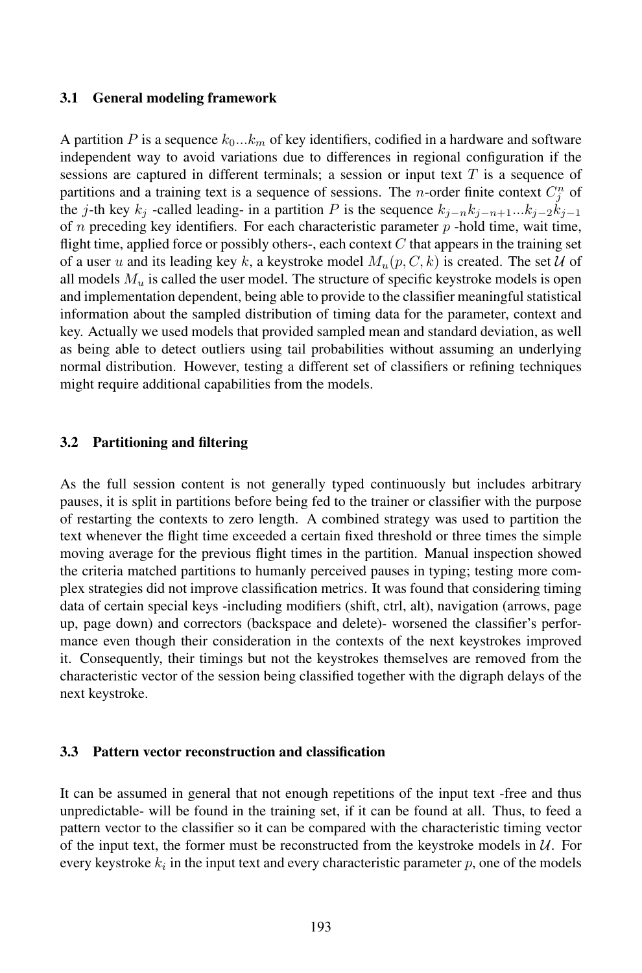#### 3.1 General modeling framework

A partition P is a sequence  $k_0...k_m$  of key identifiers, codified in a hardware and software independent way to avoid variations due to differences in regional configuration if the sessions are captured in different terminals; a session or input text  $T$  is a sequence of partitions and a training text is a sequence of sessions. The *n*-order finite context  $C_j^n$  of the j-th key  $k_j$ -called leading- in a partition P is the sequence  $k_{j-n}k_{j-n+1}...k_{j-2}k_{j-1}$ of n preceding key identifiers. For each characteristic parameter  $p$  -hold time, wait time, flight time, applied force or possibly others-, each context  $C$  that appears in the training set of a user u and its leading key k, a keystroke model  $M_u(p, C, k)$  is created. The set U of all models  $M_u$  is called the user model. The structure of specific keystroke models is open and implementation dependent, being able to provide to the classifier meaningful statistical information about the sampled distribution of timing data for the parameter, context and key. Actually we used models that provided sampled mean and standard deviation, as well as being able to detect outliers using tail probabilities without assuming an underlying normal distribution. However, testing a different set of classifiers or refining techniques might require additional capabilities from the models.

#### 3.2 Partitioning and filtering

As the full session content is not generally typed continuously but includes arbitrary pauses, it is split in partitions before being fed to the trainer or classifier with the purpose of restarting the contexts to zero length. A combined strategy was used to partition the text whenever the flight time exceeded a certain fixed threshold or three times the simple moving average for the previous flight times in the partition. Manual inspection showed the criteria matched partitions to humanly perceived pauses in typing; testing more complex strategies did not improve classification metrics. It was found that considering timing data of certain special keys -including modifiers (shift, ctrl, alt), navigation (arrows, page up, page down) and correctors (backspace and delete)- worsened the classifier's performance even though their consideration in the contexts of the next keystrokes improved it. Consequently, their timings but not the keystrokes themselves are removed from the characteristic vector of the session being classified together with the digraph delays of the next keystroke.

#### 3.3 Pattern vector reconstruction and classification

It can be assumed in general that not enough repetitions of the input text -free and thus unpredictable- will be found in the training set, if it can be found at all. Thus, to feed a pattern vector to the classifier so it can be compared with the characteristic timing vector of the input text, the former must be reconstructed from the keystroke models in  $U$ . For every keystroke  $k_i$  in the input text and every characteristic parameter  $p$ , one of the models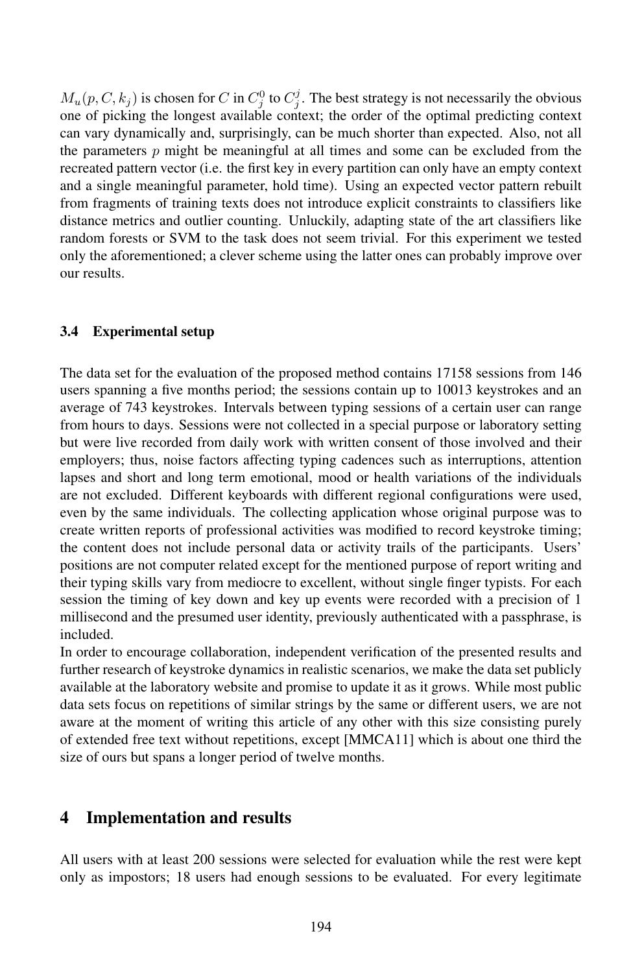$M_u(p, C, k_j)$  is chosen for C in  $C_j^0$  to  $C_j^j$ . The best strategy is not necessarily the obvious one of picking the longest available context; the order of the optimal predicting context can vary dynamically and, surprisingly, can be much shorter than expected. Also, not all the parameters  $p$  might be meaningful at all times and some can be excluded from the recreated pattern vector (i.e. the first key in every partition can only have an empty context and a single meaningful parameter, hold time). Using an expected vector pattern rebuilt from fragments of training texts does not introduce explicit constraints to classifiers like distance metrics and outlier counting. Unluckily, adapting state of the art classifiers like random forests or SVM to the task does not seem trivial. For this experiment we tested only the aforementioned; a clever scheme using the latter ones can probably improve over our results.

### 3.4 Experimental setup

The data set for the evaluation of the proposed method contains 17158 sessions from 146 users spanning a five months period; the sessions contain up to 10013 keystrokes and an average of 743 keystrokes. Intervals between typing sessions of a certain user can range from hours to days. Sessions were not collected in a special purpose or laboratory setting but were live recorded from daily work with written consent of those involved and their employers; thus, noise factors affecting typing cadences such as interruptions, attention lapses and short and long term emotional, mood or health variations of the individuals are not excluded. Different keyboards with different regional configurations were used, even by the same individuals. The collecting application whose original purpose was to create written reports of professional activities was modified to record keystroke timing; the content does not include personal data or activity trails of the participants. Users' positions are not computer related except for the mentioned purpose of report writing and their typing skills vary from mediocre to excellent, without single finger typists. For each session the timing of key down and key up events were recorded with a precision of 1 millisecond and the presumed user identity, previously authenticated with a passphrase, is included.

In order to encourage collaboration, independent verification of the presented results and further research of keystroke dynamics in realistic scenarios, we make the data set publicly available at the laboratory website and promise to update it as it grows. While most public data sets focus on repetitions of similar strings by the same or different users, we are not aware at the moment of writing this article of any other with this size consisting purely of extended free text without repetitions, except [MMCA11] which is about one third the size of ours but spans a longer period of twelve months.

### 4 Implementation and results

All users with at least 200 sessions were selected for evaluation while the rest were kept only as impostors; 18 users had enough sessions to be evaluated. For every legitimate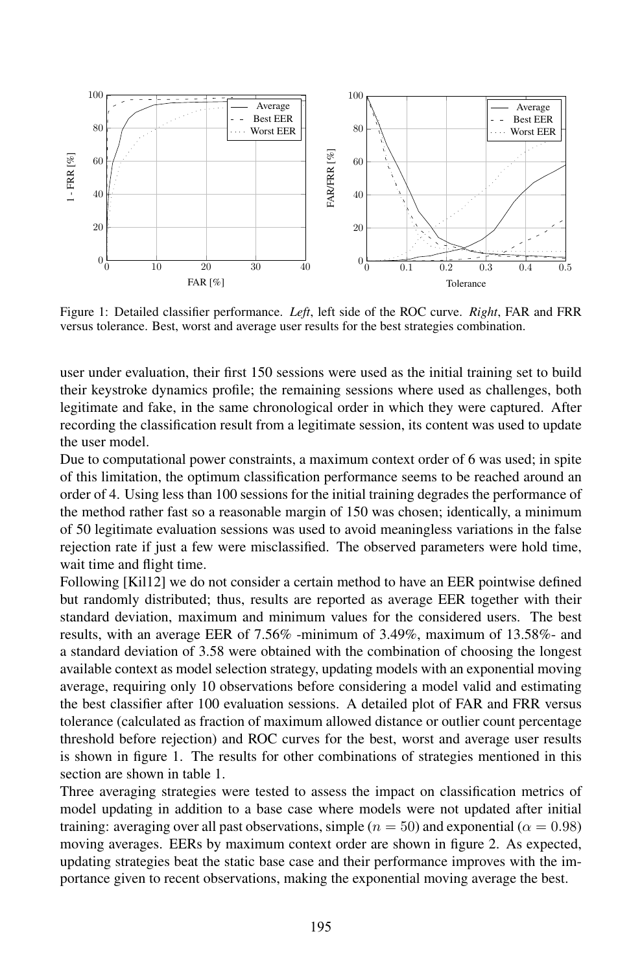

Figure 1: Detailed classifier performance. *Left*, left side of the ROC curve. *Right*, FAR and FRR versus tolerance. Best, worst and average user results for the best strategies combination.

user under evaluation, their first 150 sessions were used as the initial training set to build their keystroke dynamics profile; the remaining sessions where used as challenges, both legitimate and fake, in the same chronological order in which they were captured. After recording the classification result from a legitimate session, its content was used to update the user model

Due to computational power constraints, a maximum context order of 6 was used; in spite of this limitation, the optimum classification performance seems to be reached around an order of 4. Using less than 100 sessions for the initial training degrades the performance of the method rather fast so a reasonable margin of 150 was chosen; identically, a minimum of 50 legitimate evaluation sessions was used to avoid meaningless variations in the false rejection rate if just a few were misclassified. The observed parameters were hold time, wait time and flight time.

Following [Kil12] we do not consider a certain method to have an EER pointwise defined but randomly distributed; thus, results are reported as average EER together with their standard deviation, maximum and minimum values for the considered users. The best results, with an average EER of 7.56% -minimum of 3.49%, maximum of 13.58%- and a standard deviation of 3.58 were obtained with the combination of choosing the longest available context as model selection strategy, updating models with an exponential moving average, requiring only 10 observations before considering a model valid and estimating the best classifier after 100 evaluation sessions. A detailed plot of FAR and FRR versus tolerance (calculated as fraction of maximum allowed distance or outlier count percentage threshold before rejection) and ROC curves for the best, worst and average user results is shown in figure 1. The results for other combinations of strategies mentioned in this section are shown in table 1.

Three averaging strategies were tested to assess the impact on classification metrics of model updating in addition to a base case where models were not updated after initial training: averaging over all past observations, simple ( $n = 50$ ) and exponential ( $\alpha = 0.98$ ) moving averages. EERs by maximum context order are shown in figure 2. As expected, updating strategies beat the static base case and their performance improves with the importance given to recent observations, making the exponential moving average the best.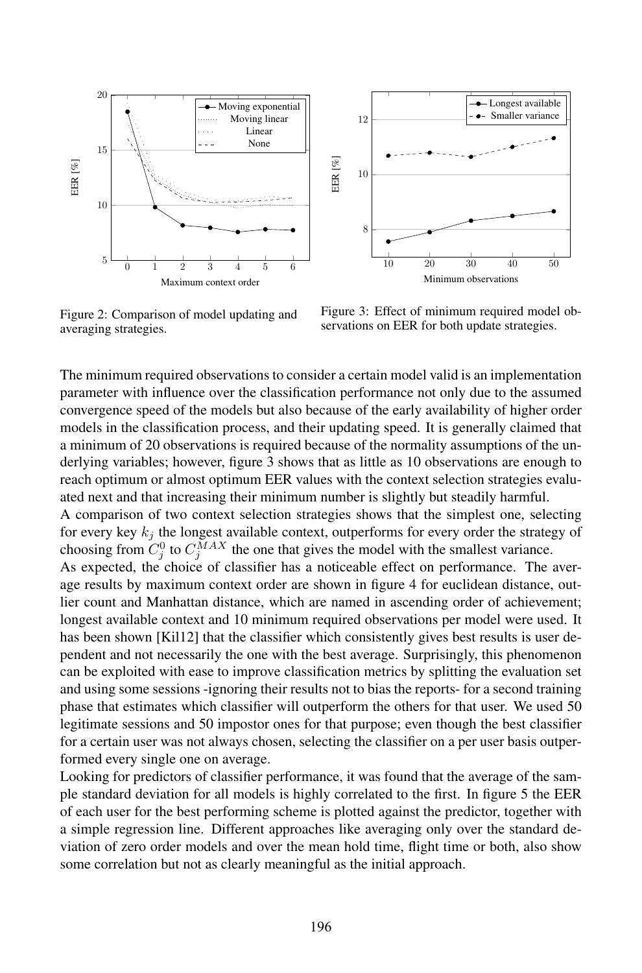

Figure 2: Comparison of model updating and averaging strategies.

Figure 3: Effect of minimum required model observations on EER for both update strategies.

The minimum required observations to consider a certain model valid is an implementation parameter with influence over the classification performance not only due to the assumed convergence speed of the models but also because of the early availability of higher order models in the classification process, and their updating speed. It is generally claimed that a minimum of 20 observations is required because of the normality assumptions of the underlying variables; however, figure 3 shows that as little as 10 observations are enough to reach optimum or almost optimum EER values with the context selection strategies evaluated next and that increasing their minimum number is slightly but steadily harmful.

A comparison of two context selection strategies shows that the simplest one, selecting for every key  $k_j$  the longest available context, outperforms for every order the strategy of choosing from  $C_j^0$  to  $C_j^{MAX}$  the one that gives the model with the smallest variance. As expected, the choice of classifier has a noticeable effect on performance. The average results by maximum context order are shown in figure 4 for euclidean distance, outlier count and Manhattan distance, which are named in ascending order of achievement; longest available context and 10 minimum required observations per model were used. It has been shown [Kil12] that the classifier which consistently gives best results is user dependent and not necessarily the one with the best average. Surprisingly, this phenomenon can be exploited with ease to improve classification metrics by splitting the evaluation set and using some sessions -ignoring their results not to bias the reports- for a second training phase that estimates which classifier will outperform the others for that user. We used 50 legitimate sessions and 50 impostor ones for that purpose; even though the best classifier for a certain user was not always chosen, selecting the classifier on a per user basis outperformed every single one on average.

Looking for predictors of classifier performance, it was found that the average of the sample standard deviation for all models is highly correlated to the first. In figure 5 the EER of each user for the best performing scheme is plotted against the predictor, together with a simple regression line. Different approaches like averaging only over the standard deviation of zero order models and over the mean hold time, flight time or both, also show some correlation but not as clearly meaningful as the initial approach.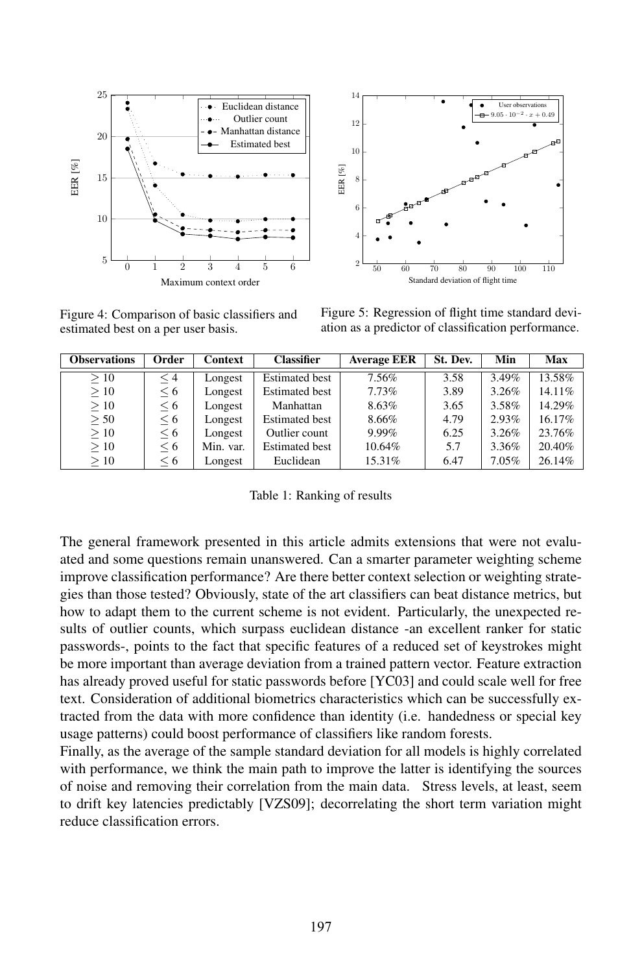

 $\frac{2}{50}$   $\frac{1}{60}$   $\frac{1}{70}$   $\frac{1}{80}$   $\frac{1}{90}$   $\frac{1}{100}$   $\frac{1}{110}$ 4 6 8 10 12 14 Standard deviation of flight time EER [%] User observations<br>9.05 ·  $10^{-2} \cdot x + 0.49$ 

Figure 4: Comparison of basic classifiers and estimated best on a per user basis.

Figure 5: Regression of flight time standard deviation as a predictor of classification performance.

| <b>Observations</b> | Order    | <b>Context</b> | <b>Classifier</b>     | <b>Average EER</b> | St. Dev. | Min   | <b>Max</b> |
|---------------------|----------|----------------|-----------------------|--------------------|----------|-------|------------|
| >10                 | $\leq 4$ | Longest        | <b>Estimated best</b> | 7.56%              | 3.58     | 3.49% | 13.58%     |
| >10                 | < 6      | Longest        | <b>Estimated best</b> | 7.73%              | 3.89     | 3.26% | 14.11%     |
| >10                 | < 6      | Longest        | Manhattan             | 8.63%              | 3.65     | 3.58% | 14.29%     |
| > 50                | < 6      | Longest        | <b>Estimated best</b> | 8.66%              | 4.79     | 2.93% | 16.17%     |
| >10                 | $\leq 6$ | Longest        | Outlier count         | $9.99\%$           | 6.25     | 3.26% | 23.76%     |
| >10                 | < 6      | Min. var.      | <b>Estimated best</b> | 10.64%             | 5.7      | 3.36% | 20.40%     |
| >10                 | < 6      | Longest        | Euclidean             | 15.31%             | 6.47     | 7.05% | 26.14%     |

Table 1: Ranking of results

The general framework presented in this article admits extensions that were not evaluated and some questions remain unanswered. Can a smarter parameter weighting scheme improve classification performance? Are there better context selection or weighting strategies than those tested? Obviously, state of the art classifiers can beat distance metrics, but how to adapt them to the current scheme is not evident. Particularly, the unexpected results of outlier counts, which surpass euclidean distance -an excellent ranker for static passwords-, points to the fact that specific features of a reduced set of keystrokes might be more important than average deviation from a trained pattern vector. Feature extraction has already proved useful for static passwords before [YC03] and could scale well for free text. Consideration of additional biometrics characteristics which can be successfully extracted from the data with more confidence than identity (i.e. handedness or special key usage patterns) could boost performance of classifiers like random forests.

Finally, as the average of the sample standard deviation for all models is highly correlated with performance, we think the main path to improve the latter is identifying the sources of noise and removing their correlation from the main data. Stress levels, at least, seem to drift key latencies predictably [VZS09]; decorrelating the short term variation might reduce classification errors.